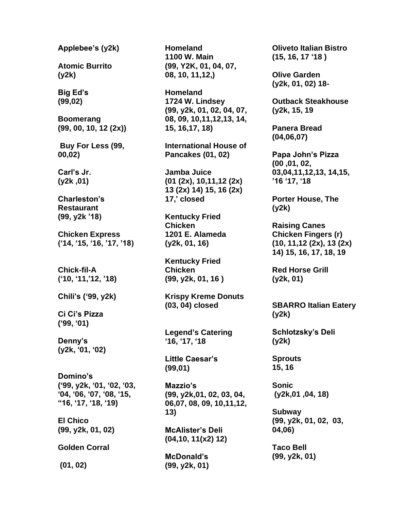**Applebee's (y2k)**

**Atomic Burrito (y2k)**

**Big Ed's (99,02)**

**Boomerang (99, 00, 10, 12 (2x))**

**Buy For Less (99, 00,02)** 

**Carl's Jr. (y2k ,01)**

**Charleston's Restaurant (99, y2k '18)**

**Chicken Express ('14, '15, '16, '17, '18)**

**Chick-fil-A ('10, '11,'12, '18)**

**Chili's ('99, y2k)**

**Ci Ci's Pizza ('99, '01)**

**Denny's (y2k, '01, '02)**

**Domino's ('99, y2k, '01, '02, '03, '04, '06, '07, '08, '15, "16, '17, '18, '19)**

**El Chico (99, y2k, 01, 02)**

**Golden Corral**

**(01, 02)**

**Homeland 1100 W. Main (99, Y2K, 01, 04, 07, 08, 10, 11,12,)**

**Homeland 1724 W. Lindsey (99, y2k, 01, 02, 04, 07, 08, 09, 10,11,12,13, 14, 15, 16,17, 18)**

**International House of Pancakes (01, 02)**

**Jamba Juice (01 (2x), 10,11,12 (2x) 13 (2x) 14) 15, 16 (2x) 17,' closed**

**Kentucky Fried Chicken 1201 E. Alameda (y2k, 01, 16)**

**Kentucky Fried Chicken (99, y2k, 01, 16 )**

**Krispy Kreme Donuts (03, 04) closed**

**Legend's Catering '16, '17, '18**

**Little Caesar's (99,01)**

**Mazzio's (99, y2k,01, 02, 03, 04, 06,07, 08, 09, 10,11,12, 13)**

**McAlister's Deli (04,10, 11(x2) 12)**

**McDonald's (99, y2k, 01)**

**Oliveto Italian Bistro (15, 16, 17 '18 )**

**Olive Garden (y2k, 01, 02) 18-**

**Outback Steakhouse (y2k, 15, 19** 

**Panera Bread (04,06,07)**

**Papa John's Pizza (00 ,01, 02, 03,04,11,12,13, 14,15, '16 '17, '18**

**Porter House, The (y2k)**

**Raising Canes Chicken Fingers (r) (10, 11,12 (2x), 13 (2x) 14) 15, 16, 17, 18, 19**

**Red Horse Grill (y2k, 01)**

**SBARRO Italian Eatery (y2k)**

**Schlotzsky's Deli (y2k)**

**Sprouts 15, 16** 

**Sonic (y2k,01 ,04, 18)**

**Subway (99, y2k, 01, 02, 03, 04,06)**

**Taco Bell (99, y2k, 01)**